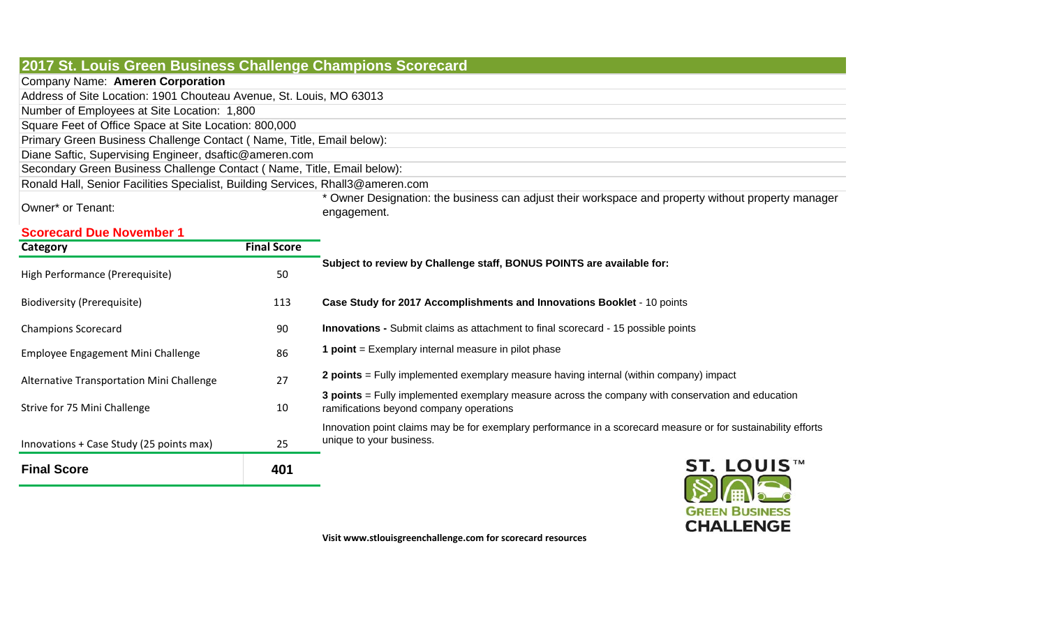| 2017 St. Louis Green Business Challenge Champions Scorecard                     |                    |                                                                                                                                                                                                                                                                                |
|---------------------------------------------------------------------------------|--------------------|--------------------------------------------------------------------------------------------------------------------------------------------------------------------------------------------------------------------------------------------------------------------------------|
| Company Name: Ameren Corporation                                                |                    |                                                                                                                                                                                                                                                                                |
| Address of Site Location: 1901 Chouteau Avenue, St. Louis, MO 63013             |                    |                                                                                                                                                                                                                                                                                |
| Number of Employees at Site Location: 1,800                                     |                    |                                                                                                                                                                                                                                                                                |
| Square Feet of Office Space at Site Location: 800,000                           |                    |                                                                                                                                                                                                                                                                                |
| Primary Green Business Challenge Contact (Name, Title, Email below):            |                    |                                                                                                                                                                                                                                                                                |
| Diane Saftic, Supervising Engineer, dsaftic@ameren.com                          |                    |                                                                                                                                                                                                                                                                                |
| Secondary Green Business Challenge Contact (Name, Title, Email below):          |                    |                                                                                                                                                                                                                                                                                |
| Ronald Hall, Senior Facilities Specialist, Building Services, Rhall3@ameren.com |                    |                                                                                                                                                                                                                                                                                |
| Owner* or Tenant:                                                               |                    | * Owner Designation: the business can adjust their workspace and property without property manager<br>engagement.                                                                                                                                                              |
| <b>Scorecard Due November 1</b>                                                 |                    |                                                                                                                                                                                                                                                                                |
| Category                                                                        | <b>Final Score</b> |                                                                                                                                                                                                                                                                                |
| High Performance (Prerequisite)                                                 | 50                 | Subject to review by Challenge staff, BONUS POINTS are available for:                                                                                                                                                                                                          |
| <b>Biodiversity (Prerequisite)</b>                                              | 113                | Case Study for 2017 Accomplishments and Innovations Booklet - 10 points                                                                                                                                                                                                        |
| <b>Champions Scorecard</b>                                                      | 90                 | <b>Innovations - Submit claims as attachment to final scorecard - 15 possible points</b>                                                                                                                                                                                       |
| Employee Engagement Mini Challenge                                              | 86                 | <b>1 point</b> = Exemplary internal measure in pilot phase                                                                                                                                                                                                                     |
| Alternative Transportation Mini Challenge                                       | 27                 | 2 points = Fully implemented exemplary measure having internal (within company) impact                                                                                                                                                                                         |
| Strive for 75 Mini Challenge                                                    | 10                 | 3 points = Fully implemented exemplary measure across the company with conservation and education<br>ramifications beyond company operations                                                                                                                                   |
| Innovations + Case Study (25 points max)                                        | 25                 | Innovation point claims may be for exemplary performance in a scorecard measure or for sustainability efforts<br>unique to your business.                                                                                                                                      |
| <b>Final Score</b>                                                              | 401                | ST. LOUIS™                                                                                                                                                                                                                                                                     |
|                                                                                 |                    | <b>GREEN BUSINESS</b><br><b>CHALLENGE</b><br>$\frac{1}{2}$ . The contract of the contract of the contract of the contract of the contract of the contract of the contract of the contract of the contract of the contract of the contract of the contract of the contract of t |

**Visit www.stlouisgreenchallenge.com for scorecard resources**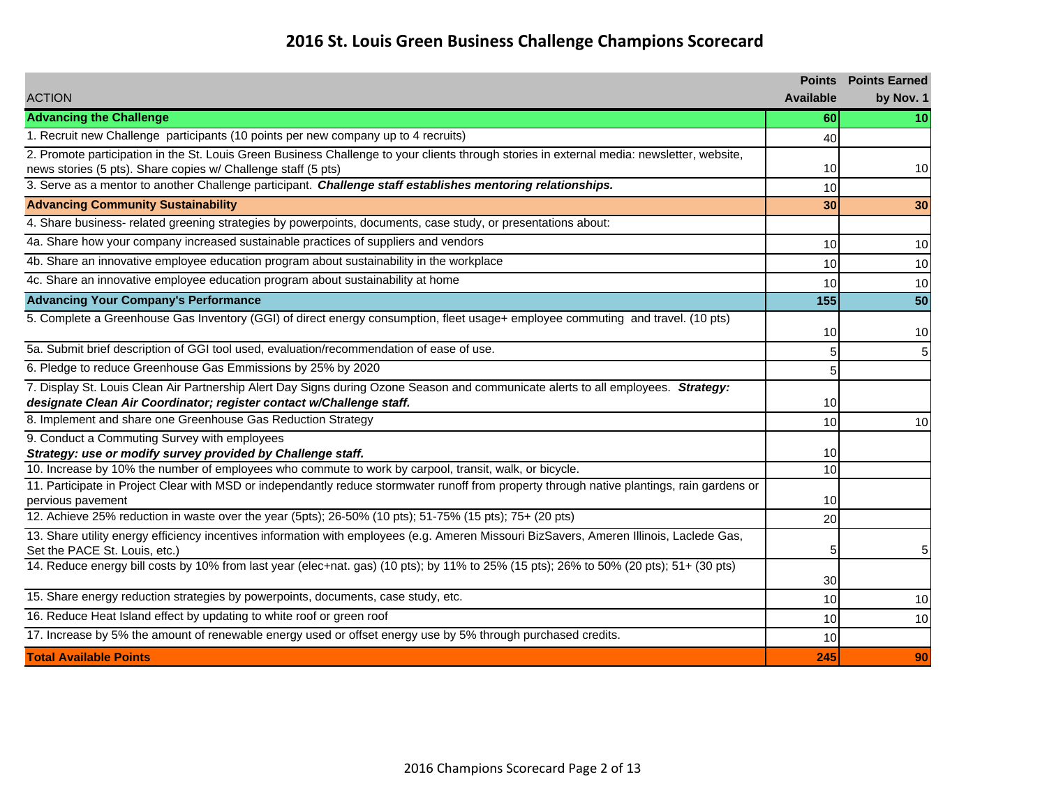### **2016 St. Louis Green Business Challenge Champions Scorecard**

| <b>Available</b><br>by Nov. 1<br>60<br>10<br>1. Recruit new Challenge participants (10 points per new company up to 4 recruits)<br>40<br>news stories (5 pts). Share copies w/ Challenge staff (5 pts)<br>10<br>10<br>3. Serve as a mentor to another Challenge participant. Challenge staff establishes mentoring relationships.<br>10<br><b>Advancing Community Sustainability</b><br>30<br>30<br>10<br>10<br>10<br>10<br>10<br>10<br>$\overline{50}$<br>155<br>10<br>10<br>5a. Submit brief description of GGI tool used, evaluation/recommendation of ease of use.<br>5<br>5<br>6. Pledge to reduce Greenhouse Gas Emmissions by 25% by 2020<br>5<br>designate Clean Air Coordinator; register contact w/Challenge staff.<br>10<br>8. Implement and share one Greenhouse Gas Reduction Strategy<br>10<br>10<br>9. Conduct a Commuting Survey with employees<br>Strategy: use or modify survey provided by Challenge staff.<br>10<br>10. Increase by 10% the number of employees who commute to work by carpool, transit, walk, or bicycle.<br>10<br>11. Participate in Project Clear with MSD or independantly reduce stormwater runoff from property through native plantings, rain gardens or<br>10<br>pervious pavement<br>20<br>Set the PACE St. Louis, etc.)<br>5<br>5<br>14. Reduce energy bill costs by 10% from last year (elec+nat. gas) (10 pts); by 11% to 25% (15 pts); 26% to 50% (20 pts); 51+ (30 pts)<br>30<br>10<br>10<br>16. Reduce Heat Island effect by updating to white roof or green roof<br>10<br>10<br>17. Increase by 5% the amount of renewable energy used or offset energy use by 5% through purchased credits.<br>10<br><b>Total Available Points</b><br>245<br>90 |                                                                                                                                            | <b>Points</b> | <b>Points Earned</b> |
|------------------------------------------------------------------------------------------------------------------------------------------------------------------------------------------------------------------------------------------------------------------------------------------------------------------------------------------------------------------------------------------------------------------------------------------------------------------------------------------------------------------------------------------------------------------------------------------------------------------------------------------------------------------------------------------------------------------------------------------------------------------------------------------------------------------------------------------------------------------------------------------------------------------------------------------------------------------------------------------------------------------------------------------------------------------------------------------------------------------------------------------------------------------------------------------------------------------------------------------------------------------------------------------------------------------------------------------------------------------------------------------------------------------------------------------------------------------------------------------------------------------------------------------------------------------------------------------------------------------------------------------------------------------------------------------------------|--------------------------------------------------------------------------------------------------------------------------------------------|---------------|----------------------|
|                                                                                                                                                                                                                                                                                                                                                                                                                                                                                                                                                                                                                                                                                                                                                                                                                                                                                                                                                                                                                                                                                                                                                                                                                                                                                                                                                                                                                                                                                                                                                                                                                                                                                                      | <b>ACTION</b>                                                                                                                              |               |                      |
|                                                                                                                                                                                                                                                                                                                                                                                                                                                                                                                                                                                                                                                                                                                                                                                                                                                                                                                                                                                                                                                                                                                                                                                                                                                                                                                                                                                                                                                                                                                                                                                                                                                                                                      | <b>Advancing the Challenge</b>                                                                                                             |               |                      |
|                                                                                                                                                                                                                                                                                                                                                                                                                                                                                                                                                                                                                                                                                                                                                                                                                                                                                                                                                                                                                                                                                                                                                                                                                                                                                                                                                                                                                                                                                                                                                                                                                                                                                                      |                                                                                                                                            |               |                      |
|                                                                                                                                                                                                                                                                                                                                                                                                                                                                                                                                                                                                                                                                                                                                                                                                                                                                                                                                                                                                                                                                                                                                                                                                                                                                                                                                                                                                                                                                                                                                                                                                                                                                                                      | 2. Promote participation in the St. Louis Green Business Challenge to your clients through stories in external media: newsletter, website, |               |                      |
|                                                                                                                                                                                                                                                                                                                                                                                                                                                                                                                                                                                                                                                                                                                                                                                                                                                                                                                                                                                                                                                                                                                                                                                                                                                                                                                                                                                                                                                                                                                                                                                                                                                                                                      |                                                                                                                                            |               |                      |
|                                                                                                                                                                                                                                                                                                                                                                                                                                                                                                                                                                                                                                                                                                                                                                                                                                                                                                                                                                                                                                                                                                                                                                                                                                                                                                                                                                                                                                                                                                                                                                                                                                                                                                      |                                                                                                                                            |               |                      |
|                                                                                                                                                                                                                                                                                                                                                                                                                                                                                                                                                                                                                                                                                                                                                                                                                                                                                                                                                                                                                                                                                                                                                                                                                                                                                                                                                                                                                                                                                                                                                                                                                                                                                                      |                                                                                                                                            |               |                      |
|                                                                                                                                                                                                                                                                                                                                                                                                                                                                                                                                                                                                                                                                                                                                                                                                                                                                                                                                                                                                                                                                                                                                                                                                                                                                                                                                                                                                                                                                                                                                                                                                                                                                                                      | 4. Share business- related greening strategies by powerpoints, documents, case study, or presentations about:                              |               |                      |
|                                                                                                                                                                                                                                                                                                                                                                                                                                                                                                                                                                                                                                                                                                                                                                                                                                                                                                                                                                                                                                                                                                                                                                                                                                                                                                                                                                                                                                                                                                                                                                                                                                                                                                      | 4a. Share how your company increased sustainable practices of suppliers and vendors                                                        |               |                      |
|                                                                                                                                                                                                                                                                                                                                                                                                                                                                                                                                                                                                                                                                                                                                                                                                                                                                                                                                                                                                                                                                                                                                                                                                                                                                                                                                                                                                                                                                                                                                                                                                                                                                                                      | 4b. Share an innovative employee education program about sustainability in the workplace                                                   |               |                      |
|                                                                                                                                                                                                                                                                                                                                                                                                                                                                                                                                                                                                                                                                                                                                                                                                                                                                                                                                                                                                                                                                                                                                                                                                                                                                                                                                                                                                                                                                                                                                                                                                                                                                                                      | 4c. Share an innovative employee education program about sustainability at home                                                            |               |                      |
|                                                                                                                                                                                                                                                                                                                                                                                                                                                                                                                                                                                                                                                                                                                                                                                                                                                                                                                                                                                                                                                                                                                                                                                                                                                                                                                                                                                                                                                                                                                                                                                                                                                                                                      | <b>Advancing Your Company's Performance</b>                                                                                                |               |                      |
|                                                                                                                                                                                                                                                                                                                                                                                                                                                                                                                                                                                                                                                                                                                                                                                                                                                                                                                                                                                                                                                                                                                                                                                                                                                                                                                                                                                                                                                                                                                                                                                                                                                                                                      | 5. Complete a Greenhouse Gas Inventory (GGI) of direct energy consumption, fleet usage+ employee commuting and travel. (10 pts)            |               |                      |
|                                                                                                                                                                                                                                                                                                                                                                                                                                                                                                                                                                                                                                                                                                                                                                                                                                                                                                                                                                                                                                                                                                                                                                                                                                                                                                                                                                                                                                                                                                                                                                                                                                                                                                      |                                                                                                                                            |               |                      |
|                                                                                                                                                                                                                                                                                                                                                                                                                                                                                                                                                                                                                                                                                                                                                                                                                                                                                                                                                                                                                                                                                                                                                                                                                                                                                                                                                                                                                                                                                                                                                                                                                                                                                                      |                                                                                                                                            |               |                      |
|                                                                                                                                                                                                                                                                                                                                                                                                                                                                                                                                                                                                                                                                                                                                                                                                                                                                                                                                                                                                                                                                                                                                                                                                                                                                                                                                                                                                                                                                                                                                                                                                                                                                                                      |                                                                                                                                            |               |                      |
|                                                                                                                                                                                                                                                                                                                                                                                                                                                                                                                                                                                                                                                                                                                                                                                                                                                                                                                                                                                                                                                                                                                                                                                                                                                                                                                                                                                                                                                                                                                                                                                                                                                                                                      | 7. Display St. Louis Clean Air Partnership Alert Day Signs during Ozone Season and communicate alerts to all employees. Strategy:          |               |                      |
|                                                                                                                                                                                                                                                                                                                                                                                                                                                                                                                                                                                                                                                                                                                                                                                                                                                                                                                                                                                                                                                                                                                                                                                                                                                                                                                                                                                                                                                                                                                                                                                                                                                                                                      |                                                                                                                                            |               |                      |
|                                                                                                                                                                                                                                                                                                                                                                                                                                                                                                                                                                                                                                                                                                                                                                                                                                                                                                                                                                                                                                                                                                                                                                                                                                                                                                                                                                                                                                                                                                                                                                                                                                                                                                      |                                                                                                                                            |               |                      |
|                                                                                                                                                                                                                                                                                                                                                                                                                                                                                                                                                                                                                                                                                                                                                                                                                                                                                                                                                                                                                                                                                                                                                                                                                                                                                                                                                                                                                                                                                                                                                                                                                                                                                                      |                                                                                                                                            |               |                      |
|                                                                                                                                                                                                                                                                                                                                                                                                                                                                                                                                                                                                                                                                                                                                                                                                                                                                                                                                                                                                                                                                                                                                                                                                                                                                                                                                                                                                                                                                                                                                                                                                                                                                                                      |                                                                                                                                            |               |                      |
|                                                                                                                                                                                                                                                                                                                                                                                                                                                                                                                                                                                                                                                                                                                                                                                                                                                                                                                                                                                                                                                                                                                                                                                                                                                                                                                                                                                                                                                                                                                                                                                                                                                                                                      |                                                                                                                                            |               |                      |
|                                                                                                                                                                                                                                                                                                                                                                                                                                                                                                                                                                                                                                                                                                                                                                                                                                                                                                                                                                                                                                                                                                                                                                                                                                                                                                                                                                                                                                                                                                                                                                                                                                                                                                      |                                                                                                                                            |               |                      |
|                                                                                                                                                                                                                                                                                                                                                                                                                                                                                                                                                                                                                                                                                                                                                                                                                                                                                                                                                                                                                                                                                                                                                                                                                                                                                                                                                                                                                                                                                                                                                                                                                                                                                                      | 12. Achieve 25% reduction in waste over the year (5pts); 26-50% (10 pts); 51-75% (15 pts); 75+ (20 pts)                                    |               |                      |
|                                                                                                                                                                                                                                                                                                                                                                                                                                                                                                                                                                                                                                                                                                                                                                                                                                                                                                                                                                                                                                                                                                                                                                                                                                                                                                                                                                                                                                                                                                                                                                                                                                                                                                      | 13. Share utility energy efficiency incentives information with employees (e.g. Ameren Missouri BizSavers, Ameren Illinois, Laclede Gas,   |               |                      |
|                                                                                                                                                                                                                                                                                                                                                                                                                                                                                                                                                                                                                                                                                                                                                                                                                                                                                                                                                                                                                                                                                                                                                                                                                                                                                                                                                                                                                                                                                                                                                                                                                                                                                                      |                                                                                                                                            |               |                      |
|                                                                                                                                                                                                                                                                                                                                                                                                                                                                                                                                                                                                                                                                                                                                                                                                                                                                                                                                                                                                                                                                                                                                                                                                                                                                                                                                                                                                                                                                                                                                                                                                                                                                                                      |                                                                                                                                            |               |                      |
|                                                                                                                                                                                                                                                                                                                                                                                                                                                                                                                                                                                                                                                                                                                                                                                                                                                                                                                                                                                                                                                                                                                                                                                                                                                                                                                                                                                                                                                                                                                                                                                                                                                                                                      | 15. Share energy reduction strategies by powerpoints, documents, case study, etc.                                                          |               |                      |
|                                                                                                                                                                                                                                                                                                                                                                                                                                                                                                                                                                                                                                                                                                                                                                                                                                                                                                                                                                                                                                                                                                                                                                                                                                                                                                                                                                                                                                                                                                                                                                                                                                                                                                      |                                                                                                                                            |               |                      |
|                                                                                                                                                                                                                                                                                                                                                                                                                                                                                                                                                                                                                                                                                                                                                                                                                                                                                                                                                                                                                                                                                                                                                                                                                                                                                                                                                                                                                                                                                                                                                                                                                                                                                                      |                                                                                                                                            |               |                      |
|                                                                                                                                                                                                                                                                                                                                                                                                                                                                                                                                                                                                                                                                                                                                                                                                                                                                                                                                                                                                                                                                                                                                                                                                                                                                                                                                                                                                                                                                                                                                                                                                                                                                                                      |                                                                                                                                            |               |                      |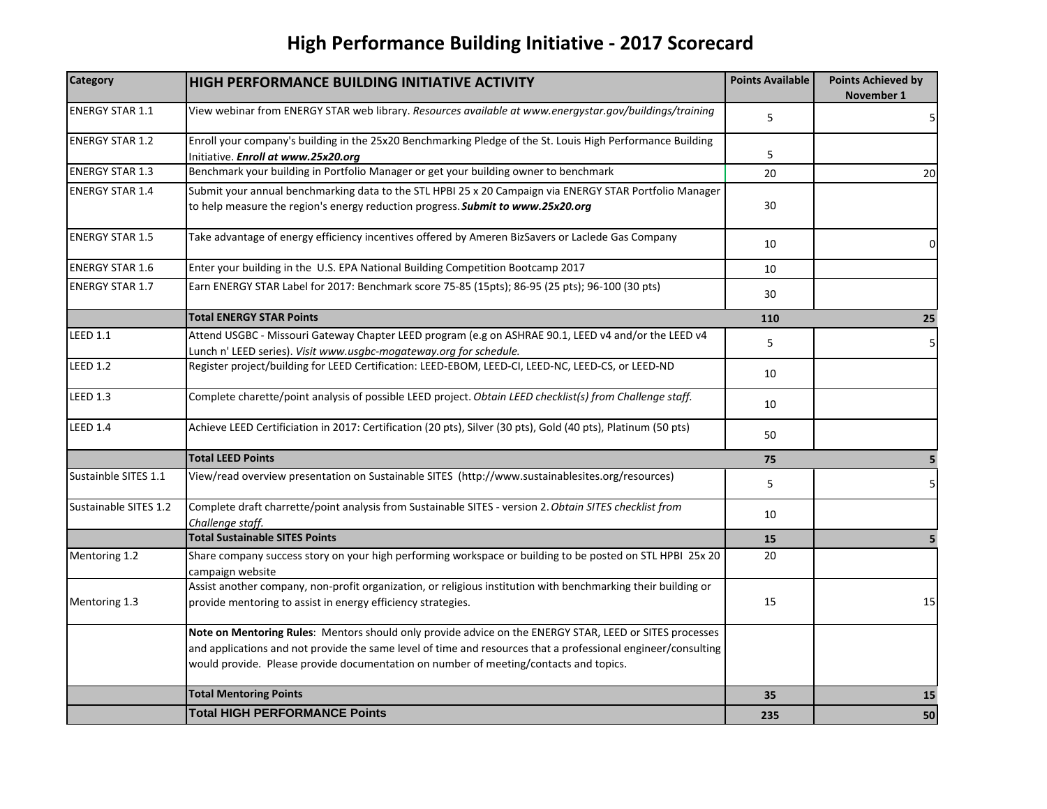# **High Performance Building Initiative ‐ 2017 Scorecard**

| <b>Category</b>        | HIGH PERFORMANCE BUILDING INITIATIVE ACTIVITY                                                                                                                                                                                                                                                                     | <b>Points Available</b> | <b>Points Achieved by</b><br>November 1 |
|------------------------|-------------------------------------------------------------------------------------------------------------------------------------------------------------------------------------------------------------------------------------------------------------------------------------------------------------------|-------------------------|-----------------------------------------|
| <b>ENERGY STAR 1.1</b> | View webinar from ENERGY STAR web library. Resources available at www.energystar.gov/buildings/training                                                                                                                                                                                                           | 5                       | 5                                       |
| <b>ENERGY STAR 1.2</b> | Enroll your company's building in the 25x20 Benchmarking Pledge of the St. Louis High Performance Building<br>Initiative. Enroll at www.25x20.org                                                                                                                                                                 | 5                       |                                         |
| <b>ENERGY STAR 1.3</b> | Benchmark your building in Portfolio Manager or get your building owner to benchmark                                                                                                                                                                                                                              | 20                      | 20                                      |
| <b>ENERGY STAR 1.4</b> | Submit your annual benchmarking data to the STL HPBI 25 x 20 Campaign via ENERGY STAR Portfolio Manager<br>to help measure the region's energy reduction progress. Submit to www.25x20.org                                                                                                                        | 30                      |                                         |
| <b>ENERGY STAR 1.5</b> | Take advantage of energy efficiency incentives offered by Ameren BizSavers or Laclede Gas Company                                                                                                                                                                                                                 | 10                      | 0                                       |
| <b>ENERGY STAR 1.6</b> | Enter your building in the U.S. EPA National Building Competition Bootcamp 2017                                                                                                                                                                                                                                   | 10                      |                                         |
| <b>ENERGY STAR 1.7</b> | Earn ENERGY STAR Label for 2017: Benchmark score 75-85 (15pts); 86-95 (25 pts); 96-100 (30 pts)                                                                                                                                                                                                                   | 30                      |                                         |
|                        | <b>Total ENERGY STAR Points</b>                                                                                                                                                                                                                                                                                   | 110                     | 25                                      |
| <b>LEED 1.1</b>        | Attend USGBC - Missouri Gateway Chapter LEED program (e.g on ASHRAE 90.1, LEED v4 and/or the LEED v4<br>Lunch n' LEED series). Visit www.usgbc-mogateway.org for schedule.                                                                                                                                        | 5                       | 5                                       |
| <b>LEED 1.2</b>        | Register project/building for LEED Certification: LEED-EBOM, LEED-CI, LEED-NC, LEED-CS, or LEED-ND                                                                                                                                                                                                                | 10                      |                                         |
| <b>LEED 1.3</b>        | Complete charette/point analysis of possible LEED project. Obtain LEED checklist(s) from Challenge staff.                                                                                                                                                                                                         | 10                      |                                         |
| <b>LEED 1.4</b>        | Achieve LEED Certificiation in 2017: Certification (20 pts), Silver (30 pts), Gold (40 pts), Platinum (50 pts)                                                                                                                                                                                                    | 50                      |                                         |
|                        | <b>Total LEED Points</b>                                                                                                                                                                                                                                                                                          | 75                      | 5                                       |
| Sustainble SITES 1.1   | View/read overview presentation on Sustainable SITES (http://www.sustainablesites.org/resources)                                                                                                                                                                                                                  | 5                       | 5                                       |
| Sustainable SITES 1.2  | Complete draft charrette/point analysis from Sustainable SITES - version 2. Obtain SITES checklist from<br>Challenge staff.                                                                                                                                                                                       | 10                      |                                         |
|                        | <b>Total Sustainable SITES Points</b>                                                                                                                                                                                                                                                                             | 15                      | 5                                       |
| Mentoring 1.2          | Share company success story on your high performing workspace or building to be posted on STL HPBI 25x 20<br>campaign website                                                                                                                                                                                     | 20                      |                                         |
| Mentoring 1.3          | Assist another company, non-profit organization, or religious institution with benchmarking their building or<br>provide mentoring to assist in energy efficiency strategies.                                                                                                                                     | 15                      | 15                                      |
|                        | Note on Mentoring Rules: Mentors should only provide advice on the ENERGY STAR, LEED or SITES processes<br>and applications and not provide the same level of time and resources that a professional engineer/consulting<br>would provide. Please provide documentation on number of meeting/contacts and topics. |                         |                                         |
|                        | <b>Total Mentoring Points</b>                                                                                                                                                                                                                                                                                     | 35                      | 15                                      |
|                        | <b>Total HIGH PERFORMANCE Points</b>                                                                                                                                                                                                                                                                              | 235                     | 50                                      |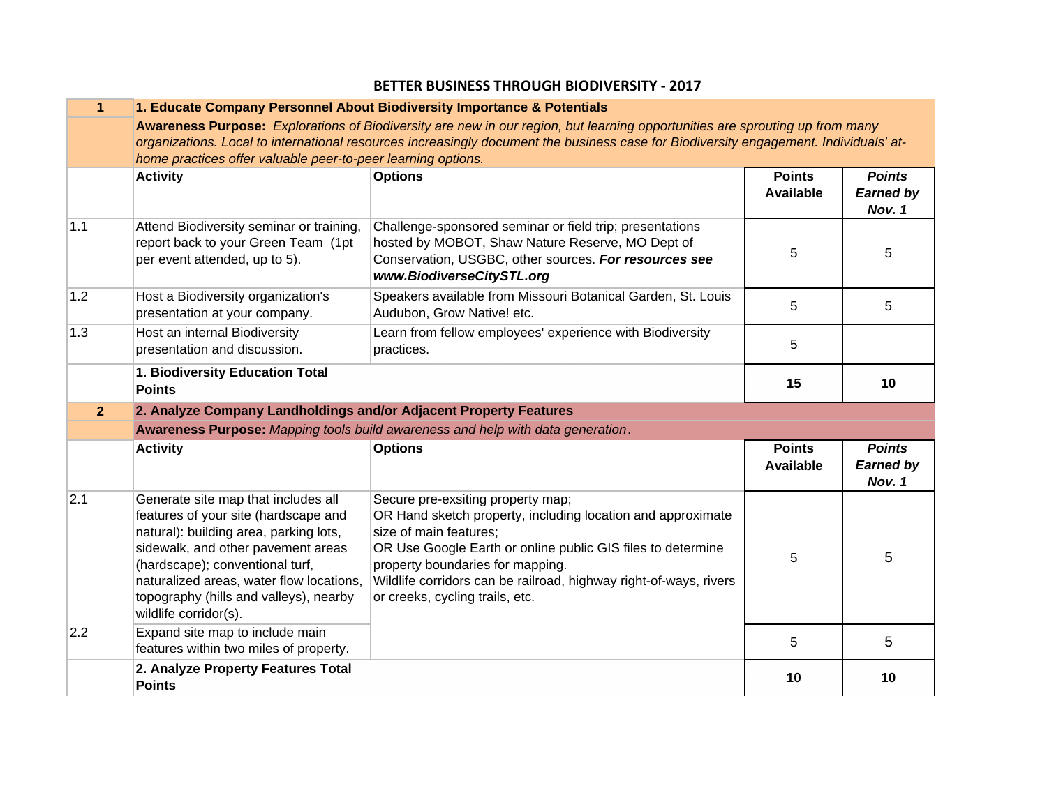| $\mathbf{1}$   | 1. Educate Company Personnel About Biodiversity Importance & Potentials                                                                                                                                                                                                                                                                          |                                                                                                                                                                                                                                                                                                                                       |                                   |                                             |  |
|----------------|--------------------------------------------------------------------------------------------------------------------------------------------------------------------------------------------------------------------------------------------------------------------------------------------------------------------------------------------------|---------------------------------------------------------------------------------------------------------------------------------------------------------------------------------------------------------------------------------------------------------------------------------------------------------------------------------------|-----------------------------------|---------------------------------------------|--|
|                | Awareness Purpose: Explorations of Biodiversity are new in our region, but learning opportunities are sprouting up from many                                                                                                                                                                                                                     |                                                                                                                                                                                                                                                                                                                                       |                                   |                                             |  |
|                | organizations. Local to international resources increasingly document the business case for Biodiversity engagement. Individuals' at-                                                                                                                                                                                                            |                                                                                                                                                                                                                                                                                                                                       |                                   |                                             |  |
|                | home practices offer valuable peer-to-peer learning options.                                                                                                                                                                                                                                                                                     |                                                                                                                                                                                                                                                                                                                                       |                                   |                                             |  |
|                | <b>Activity</b>                                                                                                                                                                                                                                                                                                                                  | <b>Options</b>                                                                                                                                                                                                                                                                                                                        | <b>Points</b><br><b>Available</b> | <b>Points</b><br><b>Earned by</b><br>Nov. 1 |  |
| 1.1            | Attend Biodiversity seminar or training,<br>report back to your Green Team (1pt<br>per event attended, up to 5).                                                                                                                                                                                                                                 | Challenge-sponsored seminar or field trip; presentations<br>hosted by MOBOT, Shaw Nature Reserve, MO Dept of<br>Conservation, USGBC, other sources. For resources see<br>www.BiodiverseCitySTL.org                                                                                                                                    | 5                                 | 5                                           |  |
| 1.2            | Host a Biodiversity organization's<br>presentation at your company.                                                                                                                                                                                                                                                                              | Speakers available from Missouri Botanical Garden, St. Louis<br>Audubon, Grow Native! etc.                                                                                                                                                                                                                                            | 5                                 | 5                                           |  |
| 1.3            | Host an internal Biodiversity<br>presentation and discussion.                                                                                                                                                                                                                                                                                    | Learn from fellow employees' experience with Biodiversity<br>practices.                                                                                                                                                                                                                                                               | 5                                 |                                             |  |
|                | 1. Biodiversity Education Total<br><b>Points</b>                                                                                                                                                                                                                                                                                                 |                                                                                                                                                                                                                                                                                                                                       | 15                                | 10                                          |  |
| 2 <sup>1</sup> | 2. Analyze Company Landholdings and/or Adjacent Property Features                                                                                                                                                                                                                                                                                |                                                                                                                                                                                                                                                                                                                                       |                                   |                                             |  |
|                |                                                                                                                                                                                                                                                                                                                                                  | Awareness Purpose: Mapping tools build awareness and help with data generation.                                                                                                                                                                                                                                                       |                                   |                                             |  |
|                | <b>Activity</b>                                                                                                                                                                                                                                                                                                                                  | <b>Options</b>                                                                                                                                                                                                                                                                                                                        | <b>Points</b><br><b>Available</b> | <b>Points</b><br><b>Earned by</b><br>Nov. 1 |  |
| 2.1<br>2.2     | Generate site map that includes all<br>features of your site (hardscape and<br>natural): building area, parking lots,<br>sidewalk, and other pavement areas<br>(hardscape); conventional turf,<br>naturalized areas, water flow locations,<br>topography (hills and valleys), nearby<br>wildlife corridor(s).<br>Expand site map to include main | Secure pre-exsiting property map;<br>OR Hand sketch property, including location and approximate<br>size of main features;<br>OR Use Google Earth or online public GIS files to determine<br>property boundaries for mapping.<br>Wildlife corridors can be railroad, highway right-of-ways, rivers<br>or creeks, cycling trails, etc. | 5                                 | 5                                           |  |
|                | features within two miles of property.                                                                                                                                                                                                                                                                                                           |                                                                                                                                                                                                                                                                                                                                       | 5                                 | 5                                           |  |
|                | 2. Analyze Property Features Total<br><b>Points</b>                                                                                                                                                                                                                                                                                              |                                                                                                                                                                                                                                                                                                                                       | 10                                | 10                                          |  |

#### **BETTER BUSINESS THROUGH BIODIVERSITY ‐ 2017**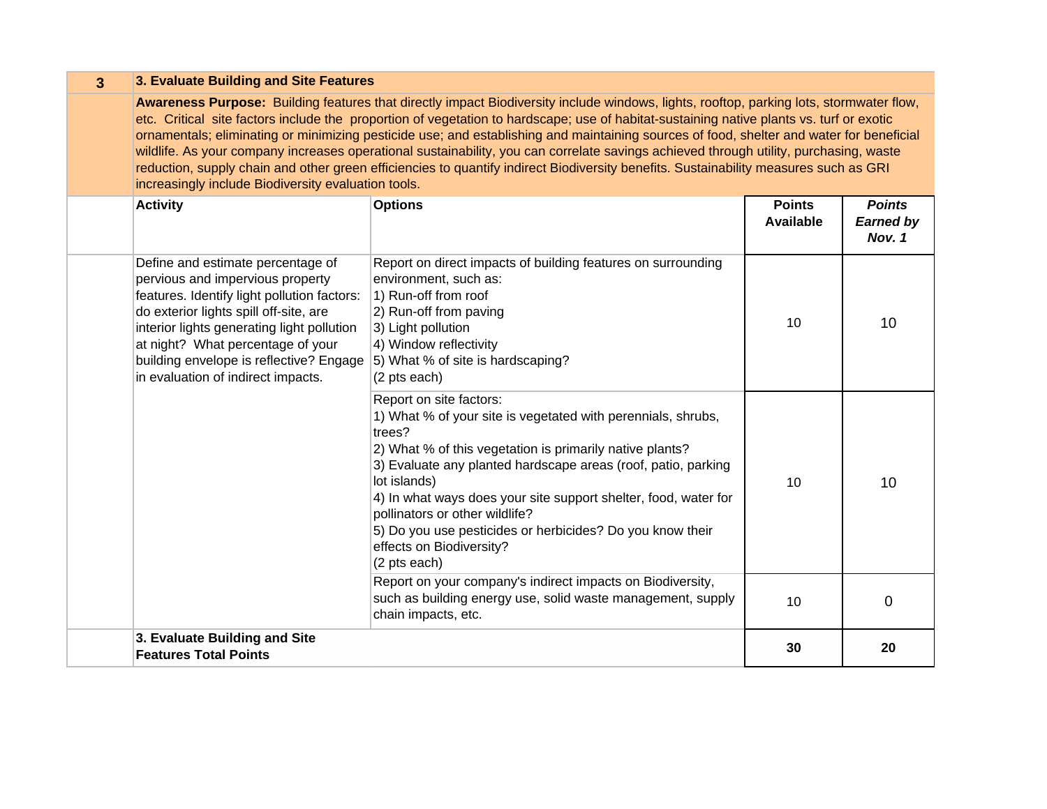| $\mathbf{3}$ | 3. Evaluate Building and Site Features                                                                                                                                                                                                                                                                                                                                                                                                                                                                                                                                                                                                                                                                                                                                  |                                                                                                                                                                                                                                                                                                                                                                                                                                                              |                                   |                                             |  |  |  |
|--------------|-------------------------------------------------------------------------------------------------------------------------------------------------------------------------------------------------------------------------------------------------------------------------------------------------------------------------------------------------------------------------------------------------------------------------------------------------------------------------------------------------------------------------------------------------------------------------------------------------------------------------------------------------------------------------------------------------------------------------------------------------------------------------|--------------------------------------------------------------------------------------------------------------------------------------------------------------------------------------------------------------------------------------------------------------------------------------------------------------------------------------------------------------------------------------------------------------------------------------------------------------|-----------------------------------|---------------------------------------------|--|--|--|
|              | Awareness Purpose: Building features that directly impact Biodiversity include windows, lights, rooftop, parking lots, stormwater flow,<br>etc. Critical site factors include the proportion of vegetation to hardscape; use of habitat-sustaining native plants vs. turf or exotic<br>ornamentals; eliminating or minimizing pesticide use; and establishing and maintaining sources of food, shelter and water for beneficial<br>wildlife. As your company increases operational sustainability, you can correlate savings achieved through utility, purchasing, waste<br>reduction, supply chain and other green efficiencies to quantify indirect Biodiversity benefits. Sustainability measures such as GRI<br>increasingly include Biodiversity evaluation tools. |                                                                                                                                                                                                                                                                                                                                                                                                                                                              |                                   |                                             |  |  |  |
|              | <b>Activity</b>                                                                                                                                                                                                                                                                                                                                                                                                                                                                                                                                                                                                                                                                                                                                                         | <b>Options</b>                                                                                                                                                                                                                                                                                                                                                                                                                                               | <b>Points</b><br><b>Available</b> | <b>Points</b><br><b>Earned by</b><br>Nov. 1 |  |  |  |
|              | Define and estimate percentage of<br>pervious and impervious property<br>features. Identify light pollution factors:<br>do exterior lights spill off-site, are<br>interior lights generating light pollution<br>at night? What percentage of your<br>building envelope is reflective? Engage<br>in evaluation of indirect impacts.                                                                                                                                                                                                                                                                                                                                                                                                                                      | Report on direct impacts of building features on surrounding<br>environment, such as:<br>1) Run-off from roof<br>2) Run-off from paving<br>3) Light pollution<br>4) Window reflectivity<br>5) What % of site is hardscaping?<br>(2 pts each)                                                                                                                                                                                                                 | 10                                | 10                                          |  |  |  |
|              |                                                                                                                                                                                                                                                                                                                                                                                                                                                                                                                                                                                                                                                                                                                                                                         | Report on site factors:<br>1) What % of your site is vegetated with perennials, shrubs,<br>trees?<br>2) What % of this vegetation is primarily native plants?<br>3) Evaluate any planted hardscape areas (roof, patio, parking<br>lot islands)<br>4) In what ways does your site support shelter, food, water for<br>pollinators or other wildlife?<br>5) Do you use pesticides or herbicides? Do you know their<br>effects on Biodiversity?<br>(2 pts each) | 10                                | 10                                          |  |  |  |
|              |                                                                                                                                                                                                                                                                                                                                                                                                                                                                                                                                                                                                                                                                                                                                                                         | Report on your company's indirect impacts on Biodiversity,<br>such as building energy use, solid waste management, supply<br>chain impacts, etc.                                                                                                                                                                                                                                                                                                             | 10                                | 0                                           |  |  |  |
|              | 3. Evaluate Building and Site<br><b>Features Total Points</b>                                                                                                                                                                                                                                                                                                                                                                                                                                                                                                                                                                                                                                                                                                           |                                                                                                                                                                                                                                                                                                                                                                                                                                                              | 30                                | 20                                          |  |  |  |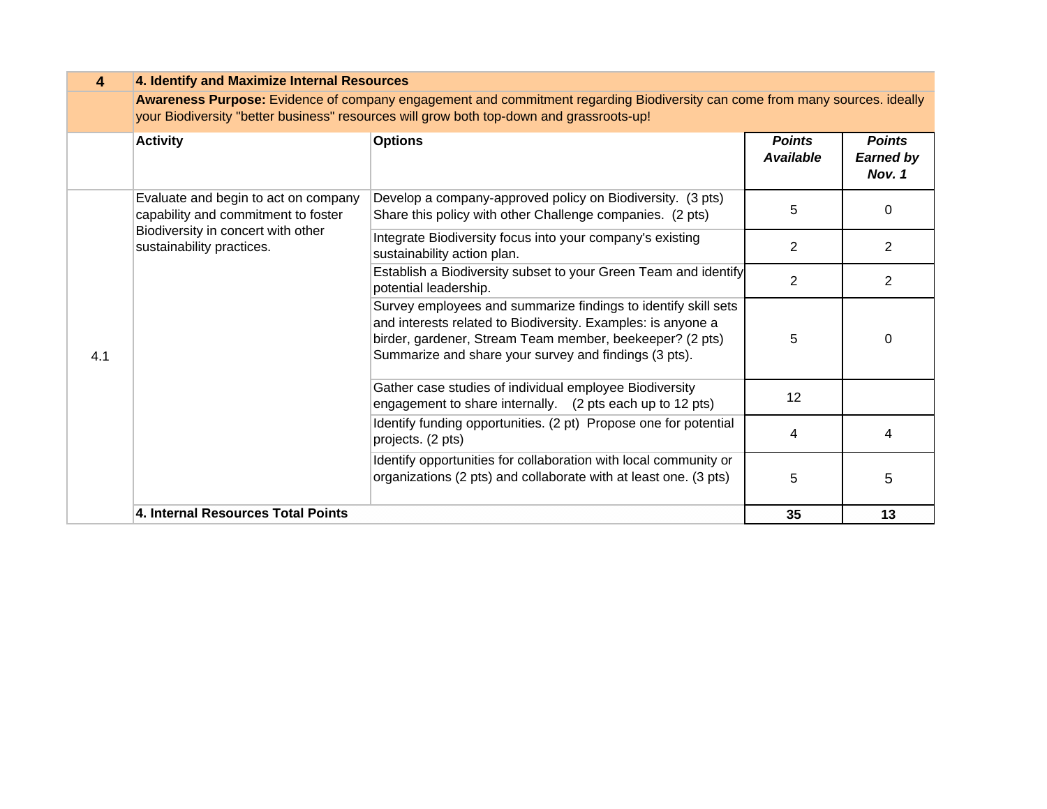| $\overline{\mathbf{4}}$ | 4. Identify and Maximize Internal Resources                                 |                                                                                                                                                                                                                                                     |                                   |                                             |  |
|-------------------------|-----------------------------------------------------------------------------|-----------------------------------------------------------------------------------------------------------------------------------------------------------------------------------------------------------------------------------------------------|-----------------------------------|---------------------------------------------|--|
|                         |                                                                             | Awareness Purpose: Evidence of company engagement and commitment regarding Biodiversity can come from many sources. ideally<br>your Biodiversity "better business" resources will grow both top-down and grassroots-up!                             |                                   |                                             |  |
|                         | <b>Activity</b>                                                             | <b>Options</b>                                                                                                                                                                                                                                      | <b>Points</b><br><b>Available</b> | <b>Points</b><br><b>Earned by</b><br>Nov. 1 |  |
|                         | Evaluate and begin to act on company<br>capability and commitment to foster | Develop a company-approved policy on Biodiversity. (3 pts)<br>Share this policy with other Challenge companies. (2 pts)                                                                                                                             | 5                                 | $\Omega$                                    |  |
|                         | Biodiversity in concert with other<br>sustainability practices.             | Integrate Biodiversity focus into your company's existing<br>sustainability action plan.                                                                                                                                                            | 2                                 | 2                                           |  |
|                         |                                                                             | Establish a Biodiversity subset to your Green Team and identify<br>potential leadership.                                                                                                                                                            | 2                                 | 2                                           |  |
| 4.1                     |                                                                             | Survey employees and summarize findings to identify skill sets<br>and interests related to Biodiversity. Examples: is anyone a<br>birder, gardener, Stream Team member, beekeeper? (2 pts)<br>Summarize and share your survey and findings (3 pts). | 5                                 | $\Omega$                                    |  |
|                         |                                                                             | Gather case studies of individual employee Biodiversity<br>engagement to share internally. (2 pts each up to 12 pts)                                                                                                                                | 12                                |                                             |  |
|                         |                                                                             | Identify funding opportunities. (2 pt) Propose one for potential<br>projects. (2 pts)                                                                                                                                                               | 4                                 | 4                                           |  |
|                         |                                                                             | Identify opportunities for collaboration with local community or<br>organizations (2 pts) and collaborate with at least one. (3 pts)                                                                                                                | 5                                 | 5                                           |  |
|                         | 4. Internal Resources Total Points                                          |                                                                                                                                                                                                                                                     | 35                                | 13                                          |  |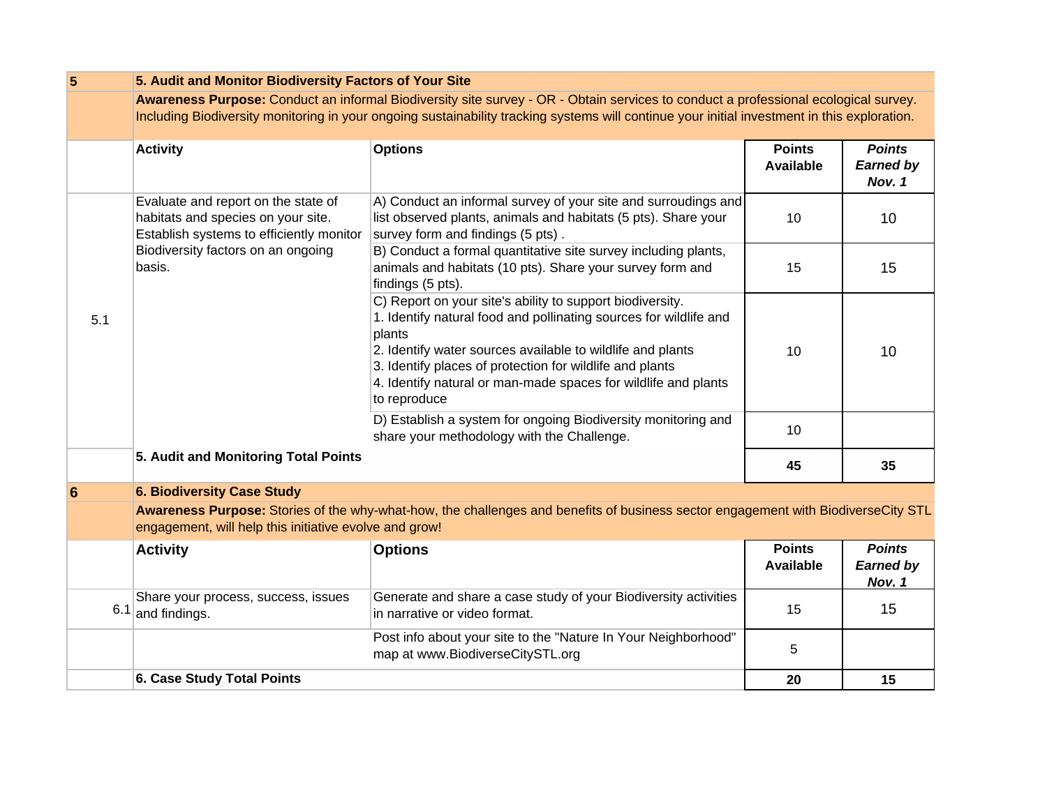| $\overline{\mathbf{5}}$ | 5. Audit and Monitor Biodiversity Factors of Your Site                                                                                                                                                                                                                              |                                                                                                                                                                                                                                                                                                                                                      |                                   |                                             |  |  |
|-------------------------|-------------------------------------------------------------------------------------------------------------------------------------------------------------------------------------------------------------------------------------------------------------------------------------|------------------------------------------------------------------------------------------------------------------------------------------------------------------------------------------------------------------------------------------------------------------------------------------------------------------------------------------------------|-----------------------------------|---------------------------------------------|--|--|
|                         | Awareness Purpose: Conduct an informal Biodiversity site survey - OR - Obtain services to conduct a professional ecological survey.<br>Including Biodiversity monitoring in your ongoing sustainability tracking systems will continue your initial investment in this exploration. |                                                                                                                                                                                                                                                                                                                                                      |                                   |                                             |  |  |
|                         | <b>Activity</b>                                                                                                                                                                                                                                                                     | <b>Options</b>                                                                                                                                                                                                                                                                                                                                       | <b>Points</b><br><b>Available</b> | <b>Points</b><br><b>Earned by</b><br>Nov. 1 |  |  |
|                         | Evaluate and report on the state of<br>habitats and species on your site.<br>Establish systems to efficiently monitor                                                                                                                                                               | A) Conduct an informal survey of your site and surroudings and<br>list observed plants, animals and habitats (5 pts). Share your<br>survey form and findings (5 pts).                                                                                                                                                                                | 10                                | 10                                          |  |  |
|                         | Biodiversity factors on an ongoing<br>basis.                                                                                                                                                                                                                                        | B) Conduct a formal quantitative site survey including plants,<br>animals and habitats (10 pts). Share your survey form and<br>findings (5 pts).                                                                                                                                                                                                     | 15                                | 15                                          |  |  |
| 5.1                     |                                                                                                                                                                                                                                                                                     | C) Report on your site's ability to support biodiversity.<br>1. Identify natural food and pollinating sources for wildlife and<br>plants<br>2. Identify water sources available to wildlife and plants<br>3. Identify places of protection for wildlife and plants<br>4. Identify natural or man-made spaces for wildlife and plants<br>to reproduce | 10                                | 10                                          |  |  |
|                         |                                                                                                                                                                                                                                                                                     | D) Establish a system for ongoing Biodiversity monitoring and<br>share your methodology with the Challenge.                                                                                                                                                                                                                                          | 10                                |                                             |  |  |
|                         | 5. Audit and Monitoring Total Points                                                                                                                                                                                                                                                |                                                                                                                                                                                                                                                                                                                                                      | 45                                | 35                                          |  |  |
| 6                       | <b>6. Biodiversity Case Study</b>                                                                                                                                                                                                                                                   |                                                                                                                                                                                                                                                                                                                                                      |                                   |                                             |  |  |
|                         | engagement, will help this initiative evolve and grow!                                                                                                                                                                                                                              | Awareness Purpose: Stories of the why-what-how, the challenges and benefits of business sector engagement with BiodiverseCity STL                                                                                                                                                                                                                    |                                   |                                             |  |  |
|                         | <b>Activity</b>                                                                                                                                                                                                                                                                     | <b>Options</b>                                                                                                                                                                                                                                                                                                                                       | <b>Points</b><br><b>Available</b> | <b>Points</b><br><b>Earned by</b><br>Nov. 1 |  |  |
| 6.1                     | Share your process, success, issues<br>and findings.                                                                                                                                                                                                                                | Generate and share a case study of your Biodiversity activities<br>in narrative or video format.                                                                                                                                                                                                                                                     | 15                                | 15                                          |  |  |
|                         |                                                                                                                                                                                                                                                                                     | Post info about your site to the "Nature In Your Neighborhood"<br>map at www.BiodiverseCitySTL.org                                                                                                                                                                                                                                                   | 5                                 |                                             |  |  |
|                         | <b>6. Case Study Total Points</b>                                                                                                                                                                                                                                                   |                                                                                                                                                                                                                                                                                                                                                      | 20                                | 15                                          |  |  |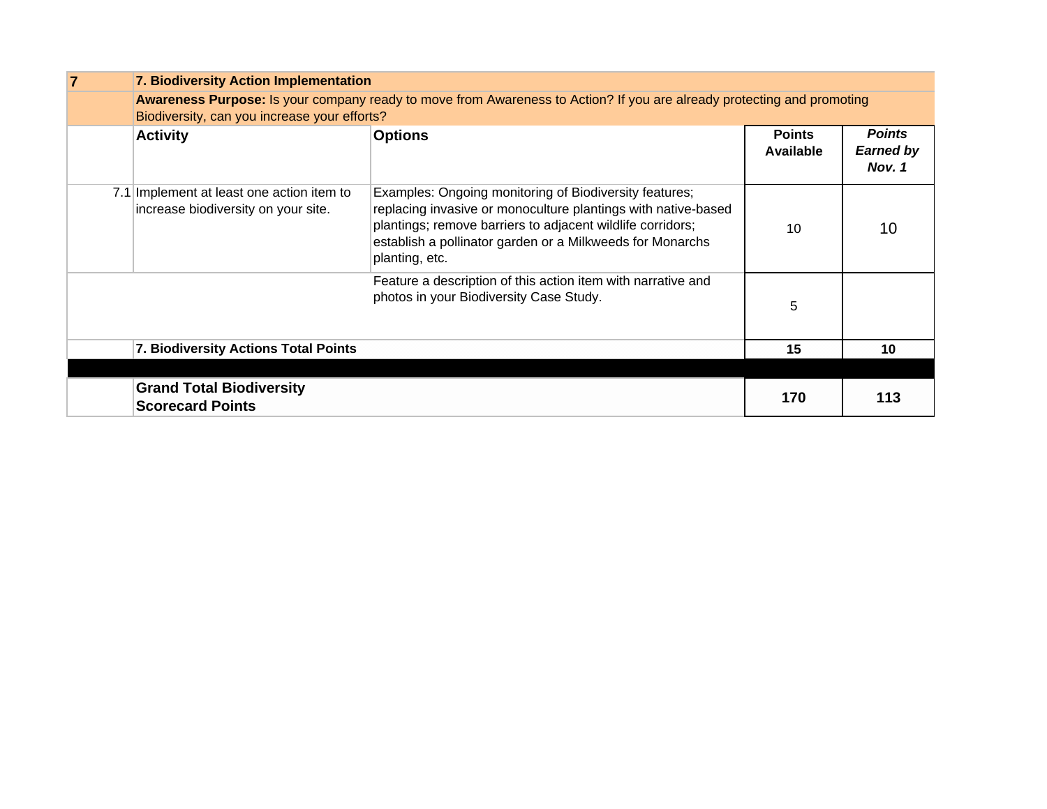| <b>7. Biodiversity Action Implementation</b>                                     |                                                                                                                                                                                                                                                                      |                            |                                             |  |
|----------------------------------------------------------------------------------|----------------------------------------------------------------------------------------------------------------------------------------------------------------------------------------------------------------------------------------------------------------------|----------------------------|---------------------------------------------|--|
| Biodiversity, can you increase your efforts?                                     | Awareness Purpose: Is your company ready to move from Awareness to Action? If you are already protecting and promoting                                                                                                                                               |                            |                                             |  |
| <b>Activity</b>                                                                  | <b>Options</b>                                                                                                                                                                                                                                                       | <b>Points</b><br>Available | <b>Points</b><br><b>Earned by</b><br>Nov. 1 |  |
| 7.1 Implement at least one action item to<br>increase biodiversity on your site. | Examples: Ongoing monitoring of Biodiversity features;<br>replacing invasive or monoculture plantings with native-based<br>plantings; remove barriers to adjacent wildlife corridors;<br>establish a pollinator garden or a Milkweeds for Monarchs<br>planting, etc. | 10                         | 10                                          |  |
|                                                                                  | Feature a description of this action item with narrative and<br>photos in your Biodiversity Case Study.                                                                                                                                                              | 5                          |                                             |  |
| 7. Biodiversity Actions Total Points                                             |                                                                                                                                                                                                                                                                      | 15                         | 10                                          |  |
|                                                                                  |                                                                                                                                                                                                                                                                      |                            |                                             |  |
| <b>Grand Total Biodiversity</b><br><b>Scorecard Points</b>                       |                                                                                                                                                                                                                                                                      | 170                        | 113                                         |  |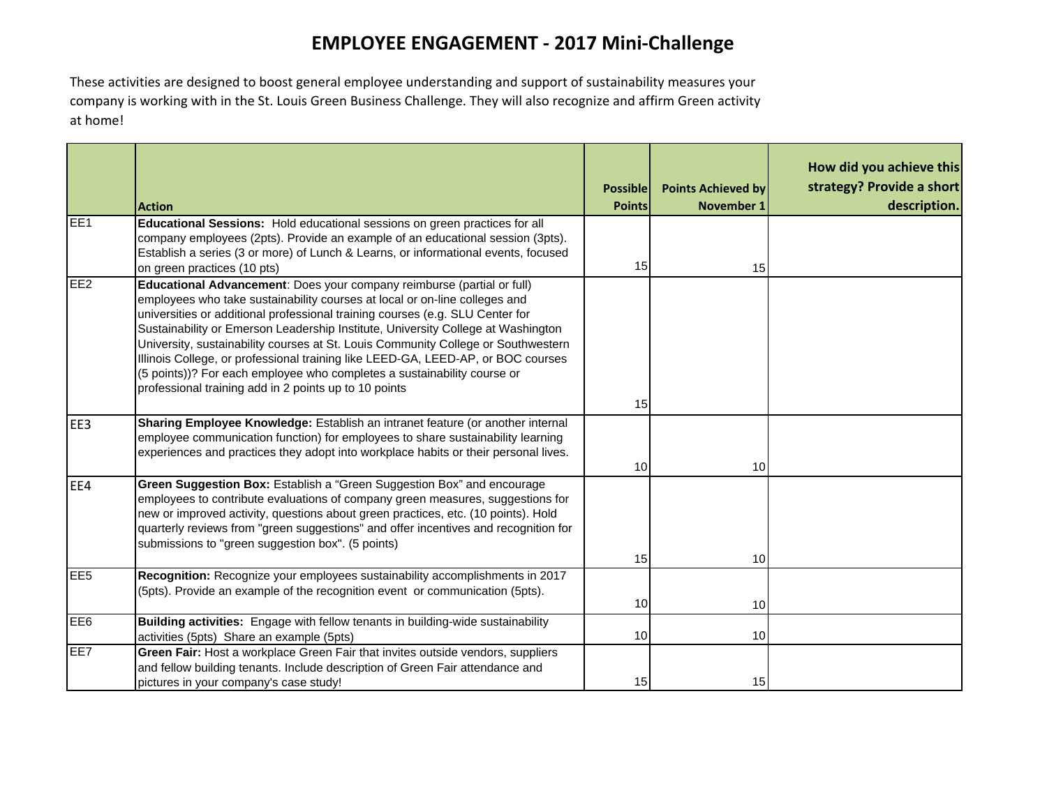# **EMPLOYEE ENGAGEMENT ‐ 2017 Mini‐Challenge**

These activities are designed to boost general employee understanding and support of sustainability measures your company is working with in the St. Louis Green Business Challenge. They will also recognize and affirm Green activity at home!

|                 | <b>Action</b>                                                                                                                                                                                                                                                                                                                                                                                                                                                                                                                                                                                                                          | <b>Possible</b><br><b>Points</b> | <b>Points Achieved by</b><br><b>November 1</b> | How did you achieve this<br>strategy? Provide a short<br>description. |
|-----------------|----------------------------------------------------------------------------------------------------------------------------------------------------------------------------------------------------------------------------------------------------------------------------------------------------------------------------------------------------------------------------------------------------------------------------------------------------------------------------------------------------------------------------------------------------------------------------------------------------------------------------------------|----------------------------------|------------------------------------------------|-----------------------------------------------------------------------|
| EE <sub>1</sub> | Educational Sessions: Hold educational sessions on green practices for all<br>company employees (2pts). Provide an example of an educational session (3pts).<br>Establish a series (3 or more) of Lunch & Learns, or informational events, focused<br>on green practices (10 pts)                                                                                                                                                                                                                                                                                                                                                      | 15                               | 15                                             |                                                                       |
| EE <sub>2</sub> | Educational Advancement: Does your company reimburse (partial or full)<br>employees who take sustainability courses at local or on-line colleges and<br>universities or additional professional training courses (e.g. SLU Center for<br>Sustainability or Emerson Leadership Institute, University College at Washington<br>University, sustainability courses at St. Louis Community College or Southwestern<br>Illinois College, or professional training like LEED-GA, LEED-AP, or BOC courses<br>(5 points))? For each employee who completes a sustainability course or<br>professional training add in 2 points up to 10 points | 15 <sup>1</sup>                  |                                                |                                                                       |
| EE3             | Sharing Employee Knowledge: Establish an intranet feature (or another internal<br>employee communication function) for employees to share sustainability learning<br>experiences and practices they adopt into workplace habits or their personal lives.                                                                                                                                                                                                                                                                                                                                                                               | 10                               | 10                                             |                                                                       |
| EE4             | Green Suggestion Box: Establish a "Green Suggestion Box" and encourage<br>employees to contribute evaluations of company green measures, suggestions for<br>new or improved activity, questions about green practices, etc. (10 points). Hold<br>quarterly reviews from "green suggestions" and offer incentives and recognition for<br>submissions to "green suggestion box". (5 points)                                                                                                                                                                                                                                              | 15                               | 10                                             |                                                                       |
| EE <sub>5</sub> | Recognition: Recognize your employees sustainability accomplishments in 2017<br>(5pts). Provide an example of the recognition event or communication (5pts).                                                                                                                                                                                                                                                                                                                                                                                                                                                                           | 10                               | 10                                             |                                                                       |
| EE <sub>6</sub> | Building activities: Engage with fellow tenants in building-wide sustainability<br>activities (5pts) Share an example (5pts)                                                                                                                                                                                                                                                                                                                                                                                                                                                                                                           | 10                               | 10                                             |                                                                       |
| EE7             | Green Fair: Host a workplace Green Fair that invites outside vendors, suppliers<br>and fellow building tenants. Include description of Green Fair attendance and<br>pictures in your company's case study!                                                                                                                                                                                                                                                                                                                                                                                                                             | 15                               | 15                                             |                                                                       |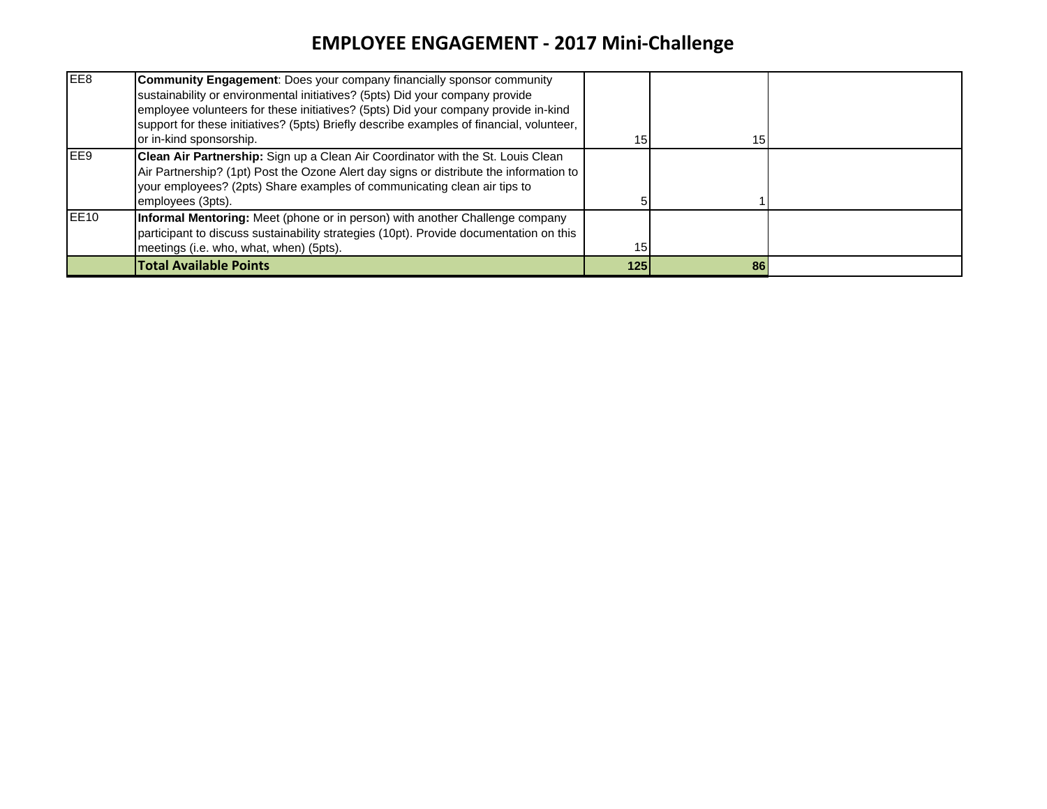## **EMPLOYEE ENGAGEMENT ‐ 2017 Mini‐Challenge**

| EE <sub>8</sub>   | <b>Community Engagement:</b> Does your company financially sponsor community<br>sustainability or environmental initiatives? (5pts) Did your company provide<br>employee volunteers for these initiatives? (5pts) Did your company provide in-kind<br>support for these initiatives? (5pts) Briefly describe examples of financial, volunteer,<br>or in-kind sponsorship. | 15 <sup>1</sup> | 15 |  |
|-------------------|---------------------------------------------------------------------------------------------------------------------------------------------------------------------------------------------------------------------------------------------------------------------------------------------------------------------------------------------------------------------------|-----------------|----|--|
| IFF9              | Clean Air Partnership: Sign up a Clean Air Coordinator with the St. Louis Clean<br>Air Partnership? (1pt) Post the Ozone Alert day signs or distribute the information to<br>your employees? (2pts) Share examples of communicating clean air tips to<br>employees (3pts).                                                                                                |                 |    |  |
| IEE <sub>10</sub> | Informal Mentoring: Meet (phone or in person) with another Challenge company<br>participant to discuss sustainability strategies (10pt). Provide documentation on this<br>meetings (i.e. who, what, when) (5pts).                                                                                                                                                         | 15 <sup>1</sup> |    |  |
|                   | <b>Total Available Points</b>                                                                                                                                                                                                                                                                                                                                             | 125             | 86 |  |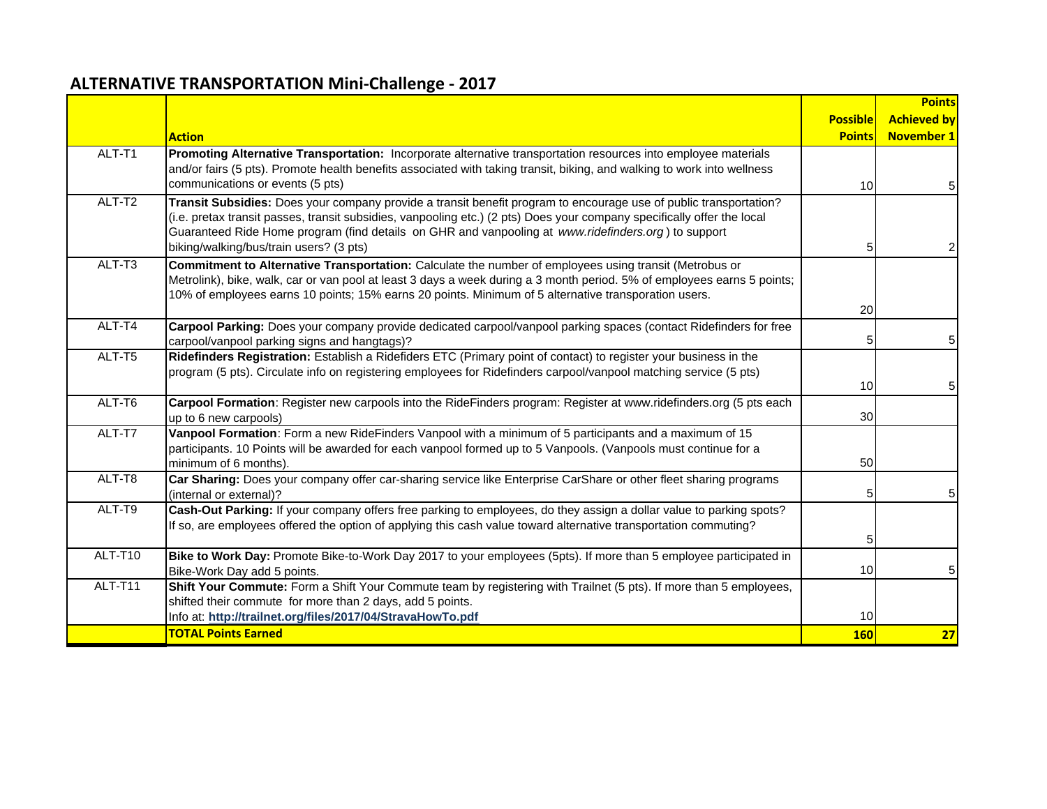#### **ALTERNATIVE TRANSPORTATION Mini‐Challenge ‐ 2017**

|         |                                                                                                                                                                                                                                                                                                                                                                                                |                 | <b>Points</b>      |
|---------|------------------------------------------------------------------------------------------------------------------------------------------------------------------------------------------------------------------------------------------------------------------------------------------------------------------------------------------------------------------------------------------------|-----------------|--------------------|
|         |                                                                                                                                                                                                                                                                                                                                                                                                | <b>Possible</b> | <b>Achieved by</b> |
|         | <b>Action</b>                                                                                                                                                                                                                                                                                                                                                                                  | <b>Points</b>   | <b>November 1</b>  |
| ALT-T1  | Promoting Alternative Transportation: Incorporate alternative transportation resources into employee materials<br>and/or fairs (5 pts). Promote health benefits associated with taking transit, biking, and walking to work into wellness<br>communications or events (5 pts)                                                                                                                  | 10              | 5                  |
| ALT-T2  | Transit Subsidies: Does your company provide a transit benefit program to encourage use of public transportation?<br>(i.e. pretax transit passes, transit subsidies, vanpooling etc.) (2 pts) Does your company specifically offer the local<br>Guaranteed Ride Home program (find details on GHR and vanpooling at www.ridefinders.org) to support<br>biking/walking/bus/train users? (3 pts) | 5               | 2                  |
| ALT-T3  | Commitment to Alternative Transportation: Calculate the number of employees using transit (Metrobus or<br>Metrolink), bike, walk, car or van pool at least 3 days a week during a 3 month period. 5% of employees earns 5 points;<br>10% of employees earns 10 points; 15% earns 20 points. Minimum of 5 alternative transporation users.                                                      | 20              |                    |
| ALT-T4  | Carpool Parking: Does your company provide dedicated carpool/vanpool parking spaces (contact Ridefinders for free<br>carpool/vanpool parking signs and hangtags)?                                                                                                                                                                                                                              |                 | 5 <sub>l</sub>     |
| ALT-T5  | Ridefinders Registration: Establish a Ridefiders ETC (Primary point of contact) to register your business in the<br>program (5 pts). Circulate info on registering employees for Ridefinders carpool/vanpool matching service (5 pts)                                                                                                                                                          | 10              | 5                  |
| ALT-T6  | Carpool Formation: Register new carpools into the RideFinders program: Register at www.ridefinders.org (5 pts each<br>up to 6 new carpools)                                                                                                                                                                                                                                                    | 30              |                    |
| ALT-T7  | Vanpool Formation: Form a new RideFinders Vanpool with a minimum of 5 participants and a maximum of 15<br>participants. 10 Points will be awarded for each vanpool formed up to 5 Vanpools. (Vanpools must continue for a<br>minimum of 6 months).                                                                                                                                             | 50              |                    |
| ALT-T8  | Car Sharing: Does your company offer car-sharing service like Enterprise CarShare or other fleet sharing programs<br>(internal or external)?                                                                                                                                                                                                                                                   |                 | 5                  |
| ALT-T9  | Cash-Out Parking: If your company offers free parking to employees, do they assign a dollar value to parking spots?<br>If so, are employees offered the option of applying this cash value toward alternative transportation commuting?                                                                                                                                                        | 5               |                    |
| ALT-T10 | Bike to Work Day: Promote Bike-to-Work Day 2017 to your employees (5pts). If more than 5 employee participated in<br>Bike-Work Day add 5 points.                                                                                                                                                                                                                                               | 10              | 5                  |
| ALT-T11 | Shift Your Commute: Form a Shift Your Commute team by registering with Trailnet (5 pts). If more than 5 employees,<br>shifted their commute for more than 2 days, add 5 points.<br>Info at: http://trailnet.org/files/2017/04/StravaHowTo.pdf                                                                                                                                                  | 10              |                    |
|         | <b>TOTAL Points Earned</b>                                                                                                                                                                                                                                                                                                                                                                     | <b>160</b>      | 27                 |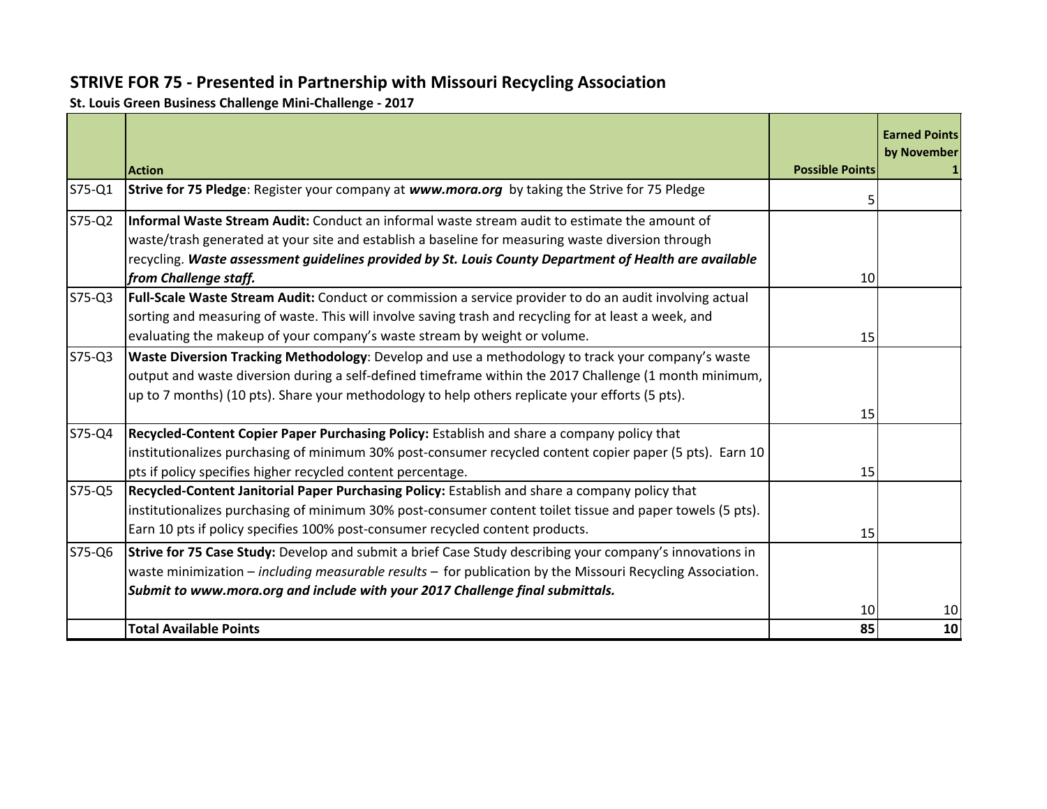#### **STRIVE FOR 75 ‐ Presented in Partnership with Missouri Recycling Association**

**St. Louis Green Business Challenge Mini‐Challenge ‐ 2017**

|          |                                                                                                                                                                                                                                                                                                                       |                        | <b>Earned Points</b><br>by November |
|----------|-----------------------------------------------------------------------------------------------------------------------------------------------------------------------------------------------------------------------------------------------------------------------------------------------------------------------|------------------------|-------------------------------------|
|          | <b>Action</b>                                                                                                                                                                                                                                                                                                         | <b>Possible Points</b> |                                     |
| S75-Q1   | Strive for 75 Pledge: Register your company at www.mora.org by taking the Strive for 75 Pledge                                                                                                                                                                                                                        | 5                      |                                     |
| $S75-Q2$ | Informal Waste Stream Audit: Conduct an informal waste stream audit to estimate the amount of<br>waste/trash generated at your site and establish a baseline for measuring waste diversion through<br>recycling. Waste assessment guidelines provided by St. Louis County Department of Health are available          |                        |                                     |
|          | from Challenge staff.                                                                                                                                                                                                                                                                                                 | 10                     |                                     |
| S75-Q3   | Full-Scale Waste Stream Audit: Conduct or commission a service provider to do an audit involving actual<br>sorting and measuring of waste. This will involve saving trash and recycling for at least a week, and                                                                                                      |                        |                                     |
|          | evaluating the makeup of your company's waste stream by weight or volume.                                                                                                                                                                                                                                             | 15                     |                                     |
| $S75-Q3$ | <b>Waste Diversion Tracking Methodology:</b> Develop and use a methodology to track your company's waste<br>output and waste diversion during a self-defined timeframe within the 2017 Challenge (1 month minimum,<br>up to 7 months) (10 pts). Share your methodology to help others replicate your efforts (5 pts). |                        |                                     |
|          |                                                                                                                                                                                                                                                                                                                       | 15                     |                                     |
| S75-Q4   | Recycled-Content Copier Paper Purchasing Policy: Establish and share a company policy that<br>institutionalizes purchasing of minimum 30% post-consumer recycled content copier paper (5 pts). Earn 10<br>pts if policy specifies higher recycled content percentage.                                                 | 15                     |                                     |
| S75-Q5   | Recycled-Content Janitorial Paper Purchasing Policy: Establish and share a company policy that<br>linstitutionalizes purchasing of minimum 30% post-consumer content toilet tissue and paper towels (5 pts).                                                                                                          |                        |                                     |
|          | Earn 10 pts if policy specifies 100% post-consumer recycled content products.                                                                                                                                                                                                                                         | 15                     |                                     |
| S75-Q6   | Strive for 75 Case Study: Develop and submit a brief Case Study describing your company's innovations in<br>waste minimization $-$ including measurable results $-$ for publication by the Missouri Recycling Association.<br>Submit to www.mora.org and include with your 2017 Challenge final submittals.           |                        |                                     |
|          |                                                                                                                                                                                                                                                                                                                       | 10                     | 10                                  |
|          | <b>Total Available Points</b>                                                                                                                                                                                                                                                                                         | 85                     | 10                                  |